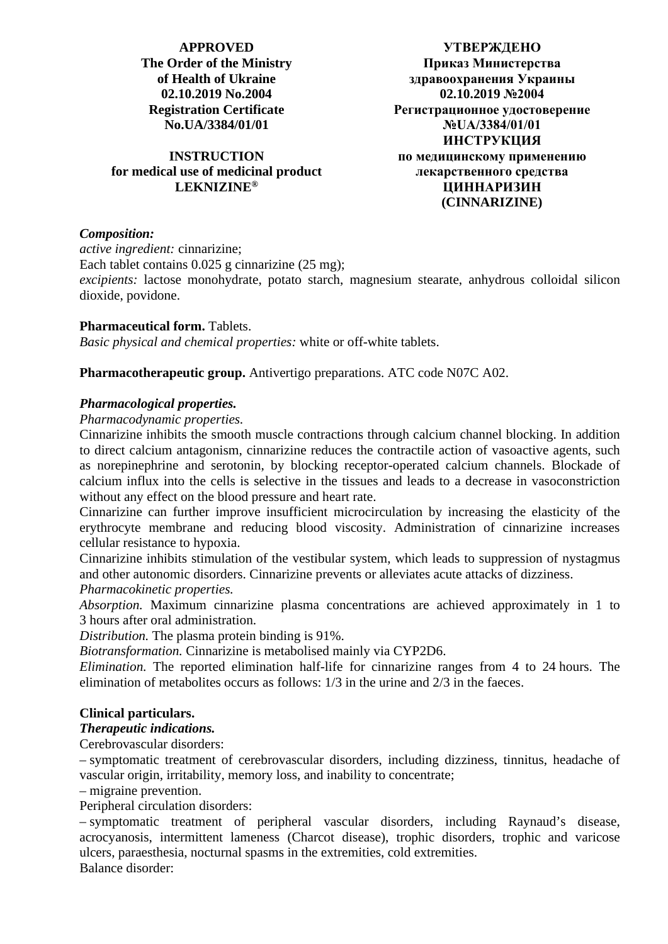## **APPROVED The Order of the Ministry of Health of Ukraine 02.10.2019 No.2004 Registration Certificate No.UA/3384/01/01**

## **INSTRUCTION for medical use of medicinal product LEKNIZINE®**

**УТВЕРЖДЕНО Приказ Министерства здравоохранения Украины 02.10.2019 №2004 Регистрационное удостоверение №UA/3384/01/01 ИНСТРУКЦИЯ по медицинскому применению лекарственного средства ЦИННАРИЗИН (CINNARIZINE)**

# *Composition:*

*active ingredient:* cinnarizine;

Each tablet contains  $0.025$  g cinnarizine  $(25 \text{ mg})$ ;

*excipients:* lactose monohydrate, potato starch, magnesium stearate, anhydrous colloidal silicon dioxide, povidone.

### **Pharmaceutical form.** Tablets.

*Basic physical and chemical properties:* white or off-white tablets.

**Pharmacotherapeutic group.** Antivertigo preparations. ATC code N07C A02.

## *Pharmacological properties.*

### *Pharmacodynamic properties.*

Cinnarizine inhibits the smooth muscle contractions through calcium channel blocking. In addition to direct calcium antagonism, cinnarizine reduces the contractile action of vasoactive agents, such as norepinephrine and serotonin, by blocking receptor-operated calcium channels. Blockade of calcium influx into the cells is selective in the tissues and leads to a decrease in vasoconstriction without any effect on the blood pressure and heart rate.

Cinnarizine can further improve insufficient microcirculation by increasing the elasticity of the erythrocyte membrane and reducing blood viscosity. Administration of cinnarizine increases cellular resistance to hypoxia.

Cinnarizine inhibits stimulation of the vestibular system, which leads to suppression of nystagmus and other autonomic disorders. Cinnarizine prevents or alleviates acute attacks of dizziness. *Pharmacokinetic properties.*

*Absorption.* Maximum cinnarizine plasma concentrations are achieved approximately in 1 to 3 hours after oral administration.

*Distribution.* The plasma protein binding is 91%.

*Biotransformation.* Cinnarizine is metabolised mainly via CYP2D6.

*Elimination.* The reported elimination half-life for cinnarizine ranges from 4 to 24 hours. The elimination of metabolites occurs as follows: 1/3 in the urine and 2/3 in the faeces.

### **Clinical particulars.**

### *Therapeutic indications.*

### Cerebrovascular disorders:

– symptomatic treatment of cerebrovascular disorders, including dizziness, tinnitus, headache of vascular origin, irritability, memory loss, and inability to concentrate;

– migraine prevention.

Peripheral circulation disorders:

– symptomatic treatment of peripheral vascular disorders, including Raynaud's disease, acrocyanosis, intermittent lameness (Charcot disease), trophic disorders, trophic and varicose ulcers, paraesthesia, nocturnal spasms in the extremities, cold extremities. Balance disorder: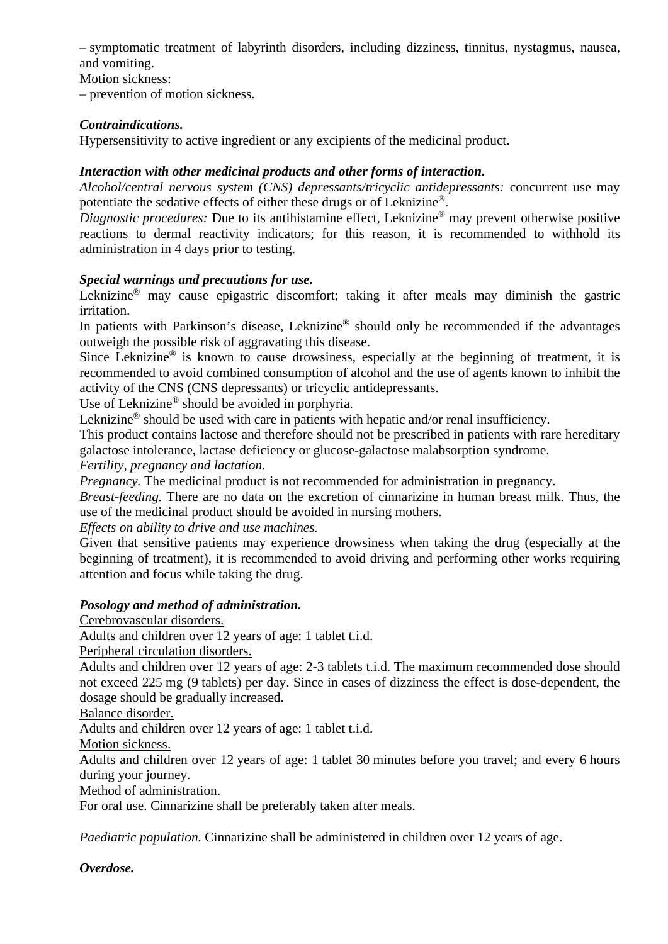– symptomatic treatment of labyrinth disorders, including dizziness, tinnitus, nystagmus, nausea, and vomiting.

Motion sickness:

– prevention of motion sickness.

## *Contraindications.*

Hypersensitivity to active ingredient or any excipients of the medicinal product.

# *Interaction with other medicinal products and other forms of interaction.*

*Alcohol/central nervous system (CNS) depressants/tricyclic antidepressants:* concurrent use may potentiate the sedative effects of either these drugs or of Leknizine®.

*Diagnostic procedures:* Due to its antihistamine effect, Leknizine<sup>®</sup> may prevent otherwise positive reactions to dermal reactivity indicators; for this reason, it is recommended to withhold its administration in 4 days prior to testing.

## *Special warnings and precautions for use.*

Leknizine® may cause epigastric discomfort; taking it after meals may diminish the gastric irritation.

In patients with Parkinson's disease, Leknizine<sup>®</sup> should only be recommended if the advantages outweigh the possible risk of aggravating this disease.

Since Leknizine<sup>®</sup> is known to cause drowsiness, especially at the beginning of treatment, it is recommended to avoid combined consumption of alcohol and the use of agents known to inhibit the activity of the CNS (CNS depressants) or tricyclic antidepressants.

Use of Leknizine® should be avoided in porphyria.

Leknizine<sup>®</sup> should be used with care in patients with hepatic and/or renal insufficiency.

This product contains lactose and therefore should not be prescribed in patients with rare hereditary galactose intolerance, lactase deficiency or glucose-galactose malabsorption syndrome.

*Fertility, pregnancy and lactation.*

*Pregnancy.* The medicinal product is not recommended for administration in pregnancy.

*Breast-feeding.* There are no data on the excretion of cinnarizine in human breast milk. Thus, the use of the medicinal product should be avoided in nursing mothers.

*Effects on ability to drive and use machines.*

Given that sensitive patients may experience drowsiness when taking the drug (especially at the beginning of treatment), it is recommended to avoid driving and performing other works requiring attention and focus while taking the drug.

## *Posology and method of administration.*

Cerebrovascular disorders.

Adults and children over 12 years of age: 1 tablet t.i.d.

Peripheral circulation disorders.

Adults and children over 12 years of age: 2-3 tablets t.i.d. The maximum recommended dose should not exceed 225 mg (9 tablets) per day. Since in cases of dizziness the effect is dose-dependent, the dosage should be gradually increased.

Balance disorder.

Adults and children over 12 years of age: 1 tablet t.i.d.

Motion sickness.

Adults and children over 12 years of age: 1 tablet 30 minutes before you travel; and every 6 hours during your journey.

Method of administration.

For oral use. Cinnarizine shall be preferably taken after meals.

*Paediatric population.* Cinnarizine shall be administered in children over 12 years of age.

*Overdose.*